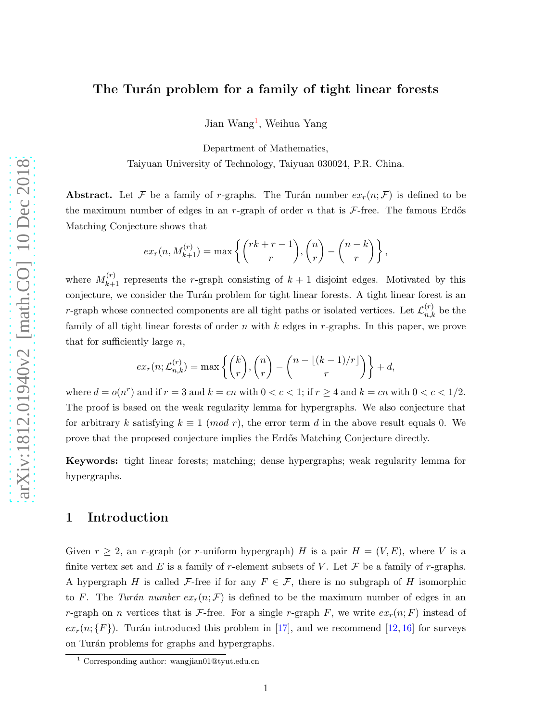### The Turán problem for a family of tight linear forests

Jian Wang<sup>[1](#page-0-0)</sup>, Weihua Yang

Department of Mathematics, Taiyuan University of Technology, Taiyuan 030024, P.R. China.

Abstract. Let F be a family of r-graphs. The Turán number  $ex_r(n; \mathcal{F})$  is defined to be the maximum number of edges in an r-graph of order n that is  $\mathcal{F}\text{-free}$ . The famous Erdős Matching Conjecture shows that

$$
ex_r(n, M_{k+1}^{(r)}) = \max \left\{ {r k + r - 1 \choose r}, {n \choose r} - {n-k \choose r} \right\},\,
$$

where  $M_{k+1}^{(r)}$  represents the r-graph consisting of  $k+1$  disjoint edges. Motivated by this conjecture, we consider the Turán problem for tight linear forests. A tight linear forest is an r-graph whose connected components are all tight paths or isolated vertices. Let  $\mathcal{L}_{n,k}^{(r)}$  be the family of all tight linear forests of order  $n$  with  $k$  edges in  $r$ -graphs. In this paper, we prove that for sufficiently large  $n$ ,

$$
ex_r(n; \mathcal{L}_{n,k}^{(r)}) = \max \left\{ {k \choose r}, {n \choose r} - {n - \lfloor (k-1)/r \rfloor \choose r} \right\} + d,
$$

where  $d = o(n^r)$  and if  $r = 3$  and  $k = cn$  with  $0 < c < 1$ ; if  $r \ge 4$  and  $k = cn$  with  $0 < c < 1/2$ . The proof is based on the weak regularity lemma for hypergraphs. We also conjecture that for arbitrary k satisfying  $k \equiv 1 \pmod{r}$ , the error term d in the above result equals 0. We prove that the proposed conjecture implies the Erd˝os Matching Conjecture directly.

Keywords: tight linear forests; matching; dense hypergraphs; weak regularity lemma for hypergraphs.

# 1 Introduction

Given  $r \geq 2$ , an r-graph (or r-uniform hypergraph) H is a pair  $H = (V, E)$ , where V is a finite vertex set and E is a family of r-element subsets of V. Let  $\mathcal F$  be a family of r-graphs. A hypergraph H is called F-free if for any  $F \in \mathcal{F}$ , there is no subgraph of H isomorphic to F. The Turán number  $ex_n(n; \mathcal{F})$  is defined to be the maximum number of edges in an r-graph on n vertices that is F-free. For a single r-graph F, we write  $ex_r(n; F)$  instead of  $ex_r(n;\{F\})$ . Turán introduced this problem in [\[17\]](#page-11-0), and we recommend [\[12,](#page-11-1) [16\]](#page-11-2) for surveys on Turán problems for graphs and hypergraphs.

<span id="page-0-0"></span><sup>1</sup> Corresponding author: wangjian01@tyut.edu.cn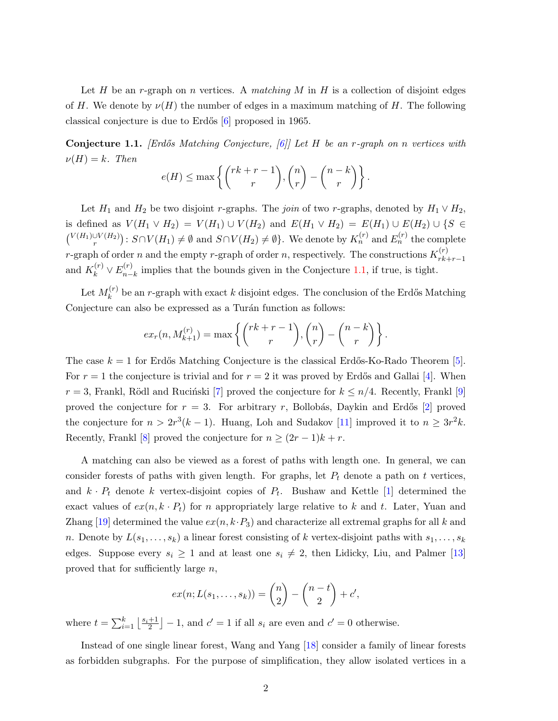Let H be an r-graph on n vertices. A matching M in H is a collection of disjoint edges of H. We denote by  $\nu(H)$  the number of edges in a maximum matching of H. The following classical conjecture is due to Erdős  $[6]$  proposed in 1965.

<span id="page-1-0"></span>**Conjecture 1.1.** *[Erdős Matching Conjecture, [\[6\]](#page-11-3)] Let H be an r-graph on n vertices with*  $\nu(H) = k$ . Then

$$
e(H) \le \max\left\{ {r k + r - 1 \choose r}, {n \choose r} - {n - k \choose r} \right\}.
$$

Let  $H_1$  and  $H_2$  be two disjoint r-graphs. The join of two r-graphs, denoted by  $H_1 \vee H_2$ , is defined as  $V(H_1 \vee H_2) = V(H_1) \cup V(H_2)$  and  $E(H_1 \vee H_2) = E(H_1) \cup E(H_2) \cup \{S \in$  $\binom{V(H_1)\cup V(H_2)}{r}$ :  $S\cap V(H_1)\neq\emptyset$  and  $S\cap V(H_2)\neq\emptyset$ . We denote by  $K_n^{(r)}$  and  $E_n^{(r)}$  the complete *r*-graph of order *n* and the empty *r*-graph of order *n*, respectively. The constructions  $K_{rk}^{(r)}$  $r_{k+r-1}$ and  $K_k^{(r)} \vee E_{n-}^{(r)}$  $\sum_{n-k}^{(n)}$  implies that the bounds given in the Conjecture [1.1,](#page-1-0) if true, is tight.

Let  $M_k^{(r)}$  $\mathbf{k}^{(r)}$  be an r-graph with exact k disjoint edges. The conclusion of the Erdős Matching Conjecture can also be expressed as a Turán function as follows:

$$
ex_r(n, M_{k+1}^{(r)}) = \max \left\{ {r k + r - 1 \choose r}, {n \choose r} - {n-k \choose r} \right\}.
$$

The case  $k = 1$  for Erdős Matching Conjecture is the classical Erdős-Ko-Rado Theorem [\[5\]](#page-11-4). For  $r = 1$  the conjecture is trivial and for  $r = 2$  it was proved by Erdős and Gallai [\[4\]](#page-11-5). When  $r = 3$ , Frankl, Rödl and Rucinski [\[7\]](#page-11-6) proved the conjecture for  $k \leq n/4$ . Recently, Frankl [\[9\]](#page-11-7) proved the conjecture for  $r = 3$ . For arbitrary r, Bollobás, Daykin and Erdős [\[2\]](#page-10-0) proved the conjecture for  $n > 2r^3(k-1)$ . Huang, Loh and Sudakov [\[11\]](#page-11-8) improved it to  $n \geq 3r^2k$ . Recently, Frankl [\[8\]](#page-11-9) proved the conjecture for  $n \ge (2r - 1)k + r$ .

A matching can also be viewed as a forest of paths with length one. In general, we can consider forests of paths with given length. For graphs, let  $P_t$  denote a path on t vertices, and  $k \cdot P_t$  denote k vertex-disjoint copies of  $P_t$ . Bushaw and Kettle [\[1\]](#page-10-1) determined the exact values of  $ex(n, k \cdot P_t)$  for n appropriately large relative to k and t. Later, Yuan and Zhang [\[19\]](#page-12-0) determined the value  $ex(n, k\cdot P_3)$  and characterize all extremal graphs for all k and n. Denote by  $L(s_1, \ldots, s_k)$  a linear forest consisting of k vertex-disjoint paths with  $s_1, \ldots, s_k$ edges. Suppose every  $s_i \geq 1$  and at least one  $s_i \neq 2$ , then Lidicky, Liu, and Palmer [\[13\]](#page-11-10) proved that for sufficiently large  $n$ ,

$$
ex(n;L(s_1,\ldots,s_k))=\binom{n}{2}-\binom{n-t}{2}+c',
$$

where  $t = \sum_{i=1}^{k} \left\lfloor \frac{s_i+1}{2} \right\rfloor$  $\left[\frac{+1}{2}\right] - 1$ , and  $c' = 1$  if all  $s_i$  are even and  $c' = 0$  otherwise.

Instead of one single linear forest, Wang and Yang [\[18\]](#page-11-11) consider a family of linear forests as forbidden subgraphs. For the purpose of simplification, they allow isolated vertices in a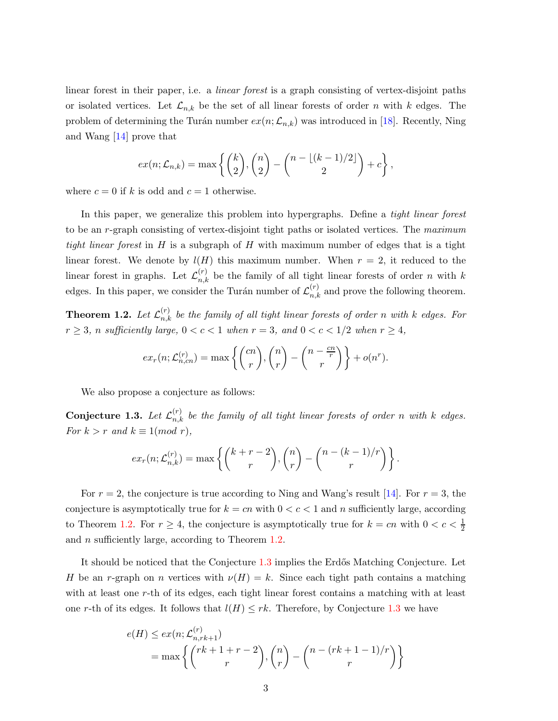linear forest in their paper, i.e. a linear forest is a graph consisting of vertex-disjoint paths or isolated vertices. Let  $\mathcal{L}_{n,k}$  be the set of all linear forests of order n with k edges. The problem of determining the Turán number  $ex(n;\mathcal{L}_{n,k})$  was introduced in [\[18\]](#page-11-11). Recently, Ning and Wang [\[14\]](#page-11-12) prove that

$$
ex(n; \mathcal{L}_{n,k}) = \max \left\{ {k \choose 2}, {n \choose 2} - {n - \lfloor (k-1)/2 \rfloor \choose 2} + c \right\},\,
$$

where  $c = 0$  if k is odd and  $c = 1$  otherwise.

In this paper, we generalize this problem into hypergraphs. Define a *tight linear forest* to be an r-graph consisting of vertex-disjoint tight paths or isolated vertices. The maximum tight linear forest in H is a subgraph of H with maximum number of edges that is a tight linear forest. We denote by  $l(H)$  this maximum number. When  $r = 2$ , it reduced to the linear forest in graphs. Let  $\mathcal{L}_{n,k}^{(r)}$  be the family of all tight linear forests of order n with k edges. In this paper, we consider the Turán number of  $\mathcal{L}_{n,k}^{(r)}$  and prove the following theorem.

<span id="page-2-0"></span>**Theorem 1.2.** Let  $\mathcal{L}_{n,k}^{(r)}$  be the family of all tight linear forests of order n with k edges. For  $r \geq 3$ , n sufficiently large,  $0 < c < 1$  when  $r = 3$ , and  $0 < c < 1/2$  when  $r \geq 4$ ,

$$
ex_r(n; \mathcal{L}_{n,cn}^{(r)}) = \max \left\{ {cn \choose r}, {n \choose r} - {n - \frac{cn}{r} \choose r} \right\} + o(n^r).
$$

We also propose a conjecture as follows:

<span id="page-2-1"></span>**Conjecture 1.3.** Let  $\mathcal{L}_{n,k}^{(r)}$  be the family of all tight linear forests of order n with k edges. For  $k > r$  and  $k \equiv 1 \pmod{r}$ ,

$$
ex_r(n; \mathcal{L}_{n,k}^{(r)}) = \max \left\{ {k+r-2 \choose r}, {n \choose r} - {n-(k-1)/r \choose r} \right\}.
$$

For  $r = 2$ , the conjecture is true according to Ning and Wang's result [\[14\]](#page-11-12). For  $r = 3$ , the conjecture is asymptotically true for  $k = cn$  with  $0 < c < 1$  and n sufficiently large, according to Theorem [1.2.](#page-2-0) For  $r \geq 4$ , the conjecture is asymptotically true for  $k = cn$  with  $0 < c < \frac{1}{2}$ and n sufficiently large, according to Theorem [1.2.](#page-2-0)

It should be noticed that the Conjecture [1.3](#page-2-1) implies the Erdős Matching Conjecture. Let H be an r-graph on n vertices with  $\nu(H) = k$ . Since each tight path contains a matching with at least one r-th of its edges, each tight linear forest contains a matching with at least one r-th of its edges. It follows that  $l(H) \leq rk$ . Therefore, by Conjecture [1.3](#page-2-1) we have

$$
e(H) \le ex(n; \mathcal{L}_{n,rk+1}^{(r)})
$$
  
= max  $\left\{ {rk+1+r-2 \choose r}, {n \choose r} - {n-(rk+1-1)/r \choose r} \right\}$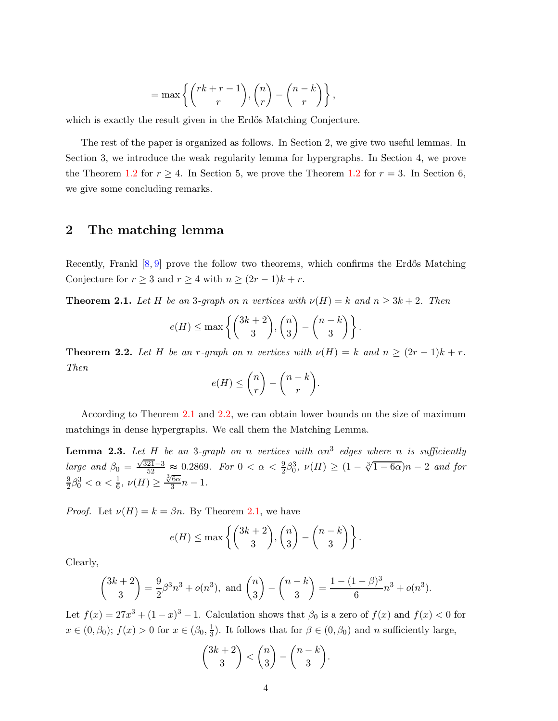$$
= \max \left\{ {rk + r - 1 \choose r}, {n \choose r} - {n - k \choose r} \right\},\
$$

which is exactly the result given in the Erdős Matching Conjecture.

The rest of the paper is organized as follows. In Section 2, we give two useful lemmas. In Section 3, we introduce the weak regularity lemma for hypergraphs. In Section 4, we prove the Theorem [1.2](#page-2-0) for  $r \geq 4$ . In Section 5, we prove the Theorem 1.2 for  $r = 3$ . In Section 6, we give some concluding remarks.

# 2 The matching lemma

Recently, Frankl  $[8, 9]$  $[8, 9]$  prove the follow two theorems, which confirms the Erdős Matching Conjecture for  $r \geq 3$  and  $r \geq 4$  with  $n \geq (2r-1)k + r$ .

<span id="page-3-0"></span>**Theorem 2.1.** Let H be an 3-graph on n vertices with  $\nu(H) = k$  and  $n \geq 3k + 2$ . Then

$$
e(H) \le \max\left\{ {3k+2 \choose 3}, {n \choose 3} - {n-k \choose 3} \right\}.
$$

<span id="page-3-1"></span>**Theorem 2.2.** Let H be an r-graph on n vertices with  $\nu(H) = k$  and  $n \geq (2r - 1)k + r$ . Then

$$
e(H) \leq {n \choose r} - {n-k \choose r}.
$$

According to Theorem [2.1](#page-3-0) and [2.2,](#page-3-1) we can obtain lower bounds on the size of maximum matchings in dense hypergraphs. We call them the Matching Lemma.

<span id="page-3-2"></span>**Lemma 2.3.** Let H be an 3-graph on n vertices with  $\alpha n^3$  edges where n is sufficiently large and  $\beta_0 = \frac{\sqrt{321}-3}{52} \approx 0.2869$ . For  $0 < \alpha < \frac{9}{2}\beta_0^3$ ,  $\nu(H) \ge (1 - \sqrt[3]{1 - 6\alpha})n - 2$  and for 9  $\frac{9}{2}\beta_0^3 < \alpha < \frac{1}{6}, \nu(H) \geq \frac{\sqrt[3]{6\alpha}}{3}$  $\frac{6\alpha}{3}n-1.$ 

*Proof.* Let  $\nu(H) = k = \beta n$ . By Theorem [2.1,](#page-3-0) we have

$$
e(H) \le \max\left\{ {3k+2 \choose 3}, {n \choose 3} - {n-k \choose 3} \right\}.
$$

Clearly,

$$
\binom{3k+2}{3} = \frac{9}{2}\beta^3 n^3 + o(n^3), \text{ and } \binom{n}{3} - \binom{n-k}{3} = \frac{1 - (1-\beta)^3}{6}n^3 + o(n^3).
$$

Let  $f(x) = 27x^3 + (1-x)^3 - 1$ . Calculation shows that  $\beta_0$  is a zero of  $f(x)$  and  $f(x) < 0$  for  $x \in (0, \beta_0); f(x) > 0 \text{ for } x \in (\beta_0, \frac{1}{3})$  $\frac{1}{3}$ ). It follows that for  $\beta \in (0, \beta_0)$  and *n* sufficiently large,

$$
\binom{3k+2}{3} < \binom{n}{3} - \binom{n-k}{3}.
$$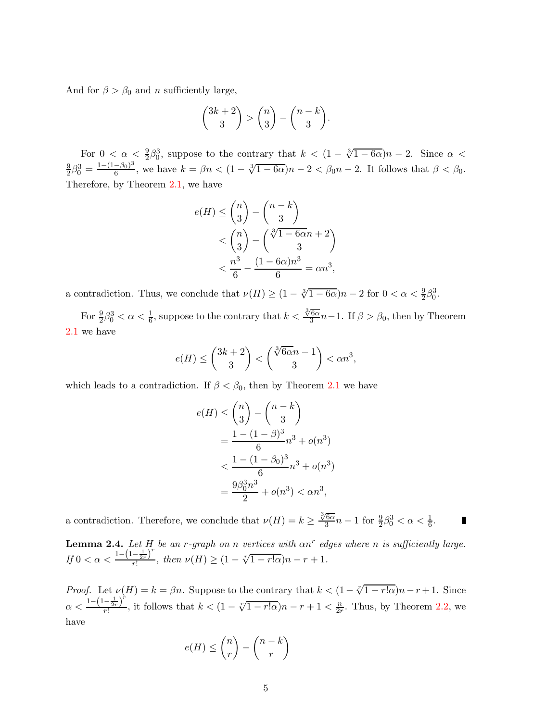And for  $\beta > \beta_0$  and n sufficiently large,

$$
\binom{3k+2}{3} > \binom{n}{3} - \binom{n-k}{3}.
$$

For  $0 < \alpha < \frac{9}{2}\beta_0^3$ , suppose to the contrary that  $k < (1 - \sqrt[3]{1 - 6\alpha})n - 2$ . Since  $\alpha <$ 9  $\frac{9}{2}\beta_0^3 = \frac{1-(1-\beta_0)^3}{6}$  $\frac{-\beta_0}{6}$ , we have  $k = \beta n < (1 - \sqrt[3]{1 - 6\alpha})n - 2 < \beta_0 n - 2$ . It follows that  $\beta < \beta_0$ . Therefore, by Theorem [2.1,](#page-3-0) we have

$$
e(H) \le \binom{n}{3} - \binom{n-k}{3}
$$
  

$$
< \binom{n}{3} - \binom{\sqrt[3]{1-6\alpha}n + 2}{3}
$$
  

$$
< \frac{n^3}{6} - \frac{(1-6\alpha)n^3}{6} = \alpha n^3,
$$

a contradiction. Thus, we conclude that  $\nu(H) \ge (1 - \sqrt[3]{1 - 6\alpha})n - 2$  for  $0 < \alpha < \frac{9}{2}\beta_0^3$ .

For  $\frac{9}{2}\beta_0^3 < \alpha < \frac{1}{6}$ , suppose to the contrary that  $k < \frac{\sqrt[3]{6\alpha}}{3}$  $\frac{6\alpha}{3}n-1$ . If  $\beta > \beta_0$ , then by Theorem [2.1](#page-3-0) we have

$$
e(H) \le \binom{3k+2}{3} < \binom{\sqrt[3]{6\alpha}n-1}{3} < \alpha n^3,
$$

which leads to a contradiction. If  $\beta < \beta_0$ , then by Theorem [2.1](#page-3-0) we have

a contradiction. Therefore, we conclude that  $\nu(H) = k \geq \frac{\sqrt[3]{6\alpha}}{3}$ 

$$
e(H) \le {n \choose 3} - {n-k \choose 3}
$$
  
= 
$$
\frac{1 - (1 - \beta)^3}{6} n^3 + o(n^3)
$$
  
< 
$$
< \frac{1 - (1 - \beta_0)^3}{6} n^3 + o(n^3)
$$
  
= 
$$
\frac{9\beta_0^3 n^3}{2} + o(n^3) < \alpha n^3,
$$

ш

 $\frac{76\alpha}{3}n-1$  for  $\frac{9}{2}\beta_0^3 < \alpha < \frac{1}{6}$ .

<span id="page-4-0"></span>**Lemma 2.4.** Let H be an r-graph on n vertices with  $\alpha n^r$  edges where n is sufficiently large.  $If 0 < \alpha < \frac{1-(1-\frac{1}{2r})^r}{r!}$  $\frac{-\frac{1}{2r}^{\prime}}{r!}$ , then  $\nu(H) \geq (1 - \sqrt[r]{1 - r! \alpha})n - r + 1$ .

*Proof.* Let  $\nu(H) = k = \beta n$ . Suppose to the contrary that  $k < (1 - \sqrt[r]{1 - r \cdot \alpha})n - r + 1$ . Since  $\alpha < \frac{1 - \left(1 - \frac{1}{2r}\right)^{r}}{r!}$  $\frac{-\frac{1}{2r}r}{r!}$ , it follows that  $k < (1 - \sqrt[r]{1-r!\alpha})n - r + 1 < \frac{n}{2r}$  $\frac{n}{2r}$ . Thus, by Theorem [2.2,](#page-3-1) we have

$$
e(H) \le \binom{n}{r} - \binom{n-k}{r}
$$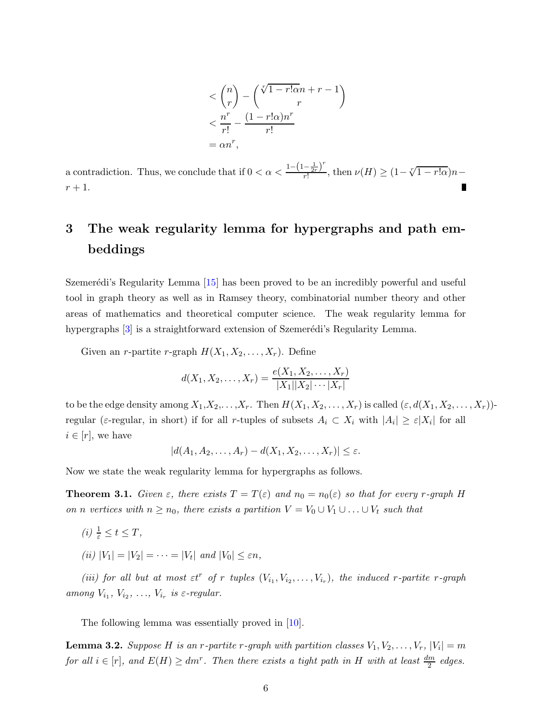$$
\langle {n \choose r} - {\sqrt[r]{1 - r! \alpha n + r - 1} \choose r}
$$
  

$$
\langle {n^r \over r!} - {(1 - r! \alpha)n^r \over r!}
$$
  
=  $\alpha n^r$ ,

a contradiction. Thus, we conclude that if  $0 < \alpha < \frac{1 - \left(1 - \frac{1}{2r}\right)^r}{r!}$  $\frac{-\frac{1}{2r}r}{r!}$ , then  $\nu(H) \geq (1 - \sqrt[r]{1 - r!\alpha})n$  $r+1$ .

# 3 The weak regularity lemma for hypergraphs and path embeddings

Szemerédi's Regularity Lemma  $|15|$  has been proved to be an incredibly powerful and useful tool in graph theory as well as in Ramsey theory, combinatorial number theory and other areas of mathematics and theoretical computer science. The weak regularity lemma for hypergraphs [\[3\]](#page-10-2) is a straightforward extension of Szemerédi's Regularity Lemma.

Given an *r*-partite *r*-graph  $H(X_1, X_2, \ldots, X_r)$ . Define

$$
d(X_1, X_2, \dots, X_r) = \frac{e(X_1, X_2, \dots, X_r)}{|X_1||X_2|\cdots|X_r|}
$$

to be the edge density among  $X_1, X_2, \ldots, X_r$ . Then  $H(X_1, X_2, \ldots, X_r)$  is called  $(\varepsilon, d(X_1, X_2, \ldots, X_r))$ regular ( $\varepsilon$ -regular, in short) if for all r-tuples of subsets  $A_i \subset X_i$  with  $|A_i| \geq \varepsilon |X_i|$  for all  $i \in [r]$ , we have

$$
|d(A_1, A_2, \ldots, A_r) - d(X_1, X_2, \ldots, X_r)| \leq \varepsilon.
$$

Now we state the weak regularity lemma for hypergraphs as follows.

**Theorem 3.1.** Given  $\varepsilon$ , there exists  $T = T(\varepsilon)$  and  $n_0 = n_0(\varepsilon)$  so that for every r-graph H on n vertices with  $n \ge n_0$ , there exists a partition  $V = V_0 \cup V_1 \cup ... \cup V_t$  such that

- (i)  $\frac{1}{\varepsilon} \leq t \leq T$ ,
- (*ii*)  $|V_1| = |V_2| = \cdots = |V_t|$  and  $|V_0| \leq \varepsilon n$ ,

(iii) for all but at most  $\varepsilon t^r$  of r tuples  $(V_{i_1}, V_{i_2}, \ldots, V_{i_r})$ , the induced r-partite r-graph among  $V_{i_1}, V_{i_2}, \ldots, V_{i_r}$  is  $\varepsilon$ -regular.

The following lemma was essentially proved in [\[10\]](#page-11-14).

<span id="page-5-0"></span>**Lemma 3.2.** Suppose H is an r-partite r-graph with partition classes  $V_1, V_2, \ldots, V_r, |V_i| = m$ for all  $i \in [r]$ , and  $E(H) \ge dm^r$ . Then there exists a tight path in H with at least  $\frac{dm}{2}$  edges.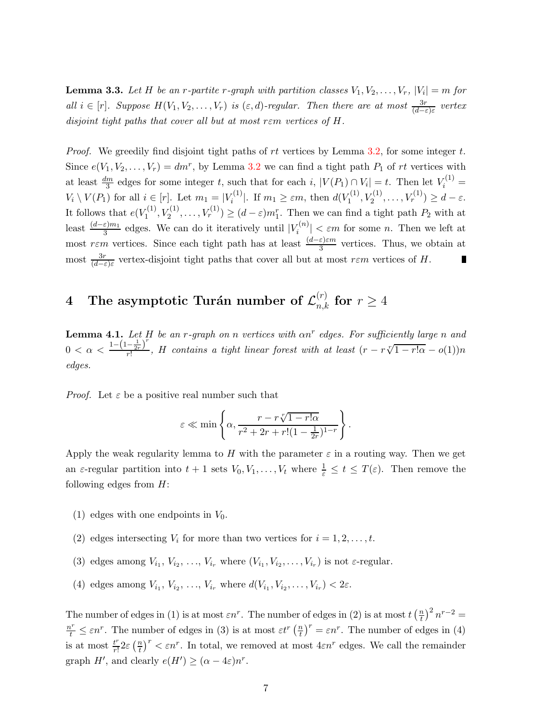<span id="page-6-0"></span>**Lemma 3.3.** Let H be an r-partite r-graph with partition classes  $V_1, V_2, \ldots, V_r, |V_i| = m$  for all  $i \in [r]$ . Suppose  $H(V_1, V_2, \ldots, V_r)$  is  $(\varepsilon, d)$ -regular. Then there are at most  $\frac{3r}{(d-\varepsilon)\varepsilon}$  vertex disjoint tight paths that cover all but at most rεm vertices of H.

*Proof.* We greedily find disjoint tight paths of rt vertices by Lemma [3.2,](#page-5-0) for some integer t. Since  $e(V_1, V_2, \ldots, V_r) = dm^r$ , by Lemma [3.2](#page-5-0) we can find a tight path  $P_1$  of rt vertices with at least  $\frac{dm}{3}$  edges for some integer t, such that for each i,  $|V(P_1) \cap V_i| = t$ . Then let  $V_i^{(1)}$  $V_i \setminus V(P_1)$  for all  $i \in [r]$ . Let  $m_1 = |V_i^{(1)}|$ <sup>r(1)</sup>. If  $m_1 \geq \varepsilon m$ , then  $d(V_1^{(1)})$  $Y_1^{(1)}, V_2^{(1)}, \ldots, V_r^{(1)}) \geq d - \varepsilon.$ It follows that  $e(V_1^{(1)})$  $V_1^{(1)}, V_2^{(1)}, \ldots, V_r^{(1)}) \geq (d - \varepsilon) m_1^r$ . Then we can find a tight path  $P_2$  with at least  $\frac{(d-\varepsilon)m_1}{3}$  edges. We can do it iteratively until  $|V_i^{(n)}|$  $\left|\frac{\partial f^{(n)}}{\partial t}\right| < \varepsilon m$  for some *n*. Then we left at most r $\varepsilon$ m vertices. Since each tight path has at least  $\frac{(d-\varepsilon)\varepsilon m}{3}$  vertices. Thus, we obtain at most  $\frac{3r}{(d-\varepsilon)\varepsilon}$  vertex-disjoint tight paths that cover all but at most  $r\varepsilon m$  vertices of H.

# $4$  The asymptotic Turán number of  $\mathcal{L}_{n,k}^{(r)}$  for  $r\geq 4$

<span id="page-6-1"></span>**Lemma 4.1.** Let H be an r-graph on n vertices with  $\alpha n^r$  edges. For sufficiently large n and  $0 < \alpha < \frac{1-(1-\frac{1}{2r})^r}{r!}$  $\frac{-\frac{1}{2r}^{\prime}}{r!}$ , H contains a tight linear forest with at least  $(r - r\sqrt[r]{1 - r!\alpha} - o(1))n$ edges.

*Proof.* Let  $\varepsilon$  be a positive real number such that

$$
\varepsilon \ll \min \left\{ \alpha, \frac{r - r\sqrt[r]{1 - r\alpha}}{r^2 + 2r + r!(1 - \frac{1}{2r})^{1-r}} \right\}.
$$

Apply the weak regularity lemma to H with the parameter  $\varepsilon$  in a routing way. Then we get an  $\varepsilon$ -regular partition into  $t+1$  sets  $V_0, V_1, \ldots, V_t$  where  $\frac{1}{\varepsilon} \le t \le T(\varepsilon)$ . Then remove the following edges from  $H$ :

- (1) edges with one endpoints in  $V_0$ .
- (2) edges intersecting  $V_i$  for more than two vertices for  $i = 1, 2, \ldots, t$ .
- (3) edges among  $V_{i_1}, V_{i_2}, \ldots, V_{i_r}$  where  $(V_{i_1}, V_{i_2}, \ldots, V_{i_r})$  is not  $\varepsilon$ -regular.
- (4) edges among  $V_{i_1}, V_{i_2}, \ldots, V_{i_r}$  where  $d(V_{i_1}, V_{i_2}, \ldots, V_{i_r}) < 2\varepsilon$ .

The number of edges in (1) is at most  $\varepsilon n^r$ . The number of edges in (2) is at most  $t\left(\frac{n}{t}\right)$  $\left(\frac{n}{t}\right)^2 n^{r-2} =$  $\frac{n^r}{t} \leq \varepsilon n^r$ . The number of edges in (3) is at most  $\varepsilon t^r \left(\frac{n}{t}\right)$  $\left(\frac{n}{t}\right)^r = \varepsilon n^r$ . The number of edges in (4) is at most  $\frac{t^r}{r!}$  $rac{t^r}{r!}$ 2ε  $(\frac{n}{t})$  $\frac{n}{t}$ <sup>r</sup>  $\lt$   $\varepsilon n^r$ . In total, we removed at most  $4\varepsilon n^r$  edges. We call the remainder graph  $H'$ , and clearly  $e(H') \geq (\alpha - 4\varepsilon)n^{r}$ .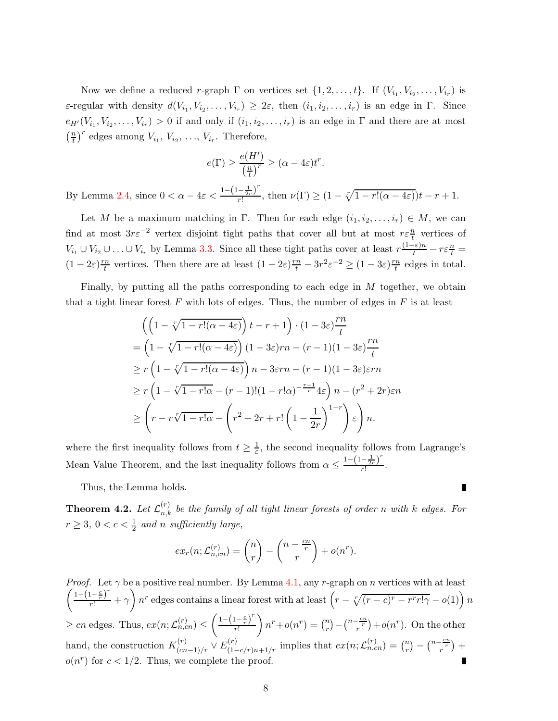Now we define a reduced r-graph  $\Gamma$  on vertices set  $\{1, 2, \ldots, t\}$ . If  $(V_{i_1}, V_{i_2}, \ldots, V_{i_r})$  is  $\varepsilon$ -regular with density  $d(V_{i_1}, V_{i_2}, \ldots, V_{i_r}) \geq 2\varepsilon$ , then  $(i_1, i_2, \ldots, i_r)$  is an edge in  $\Gamma$ . Since  $e_{H'}(V_{i_1}, V_{i_2}, \ldots, V_{i_r}) > 0$  if and only if  $(i_1, i_2, \ldots, i_r)$  is an edge in  $\Gamma$  and there are at most  $\left(\frac{n}{t}\right)$  $\frac{n}{t}$ <sup>r</sup> edges among  $V_{i_1}, V_{i_2}, \ldots, V_{i_r}$ . Therefore,

$$
e(\Gamma) \ge \frac{e(H')}{\left(\frac{n}{t}\right)^r} \ge (\alpha - 4\varepsilon)t^r.
$$

By Lemma [2.4,](#page-4-0) since  $0 < \alpha - 4\varepsilon < \frac{1 - \left(1 - \frac{1}{2r}\right)^r}{r!}$  $\frac{-\frac{r}{2r}}{r!}$ , then  $\nu(\Gamma) \geq (1 - \sqrt[r]{1 - r!(\alpha - 4\varepsilon)})t - r + 1.$ 

Let M be a maximum matching in Γ. Then for each edge  $(i_1, i_2, \ldots, i_r) \in M$ , we can find at most  $3r\varepsilon^{-2}$  vertex disjoint tight paths that cover all but at most  $r\varepsilon^{\frac{n}{t}}$  vertices of  $V_{i_1} \cup V_{i_2} \cup \ldots \cup V_{i_r}$  by Lemma [3.3.](#page-6-0) Since all these tight paths cover at least  $r \frac{(1-\varepsilon)n}{t} - r \varepsilon \frac{n}{t} =$  $(1-2\varepsilon)\frac{rn}{t}$  $\frac{n}{t}$  vertices. Then there are at least  $(1-2\varepsilon)\frac{rn}{t} - 3r^2\varepsilon^{-2} \ge (1-3\varepsilon)\frac{rn}{t}$  $\frac{m}{t}$  edges in total.

Finally, by putting all the paths corresponding to each edge in M together, we obtain that a tight linear forest F with lots of edges. Thus, the number of edges in  $F$  is at least

$$
\left( \left( 1 - \sqrt[r]{1 - r!(\alpha - 4\varepsilon)} \right) t - r + 1 \right) \cdot \left( 1 - 3\varepsilon \right) \frac{rn}{t}
$$
\n
$$
= \left( 1 - \sqrt[r]{1 - r!(\alpha - 4\varepsilon)} \right) (1 - 3\varepsilon) rn - (r - 1)(1 - 3\varepsilon) \frac{rn}{t}
$$
\n
$$
\ge r \left( 1 - \sqrt[r]{1 - r!(\alpha - 4\varepsilon)} \right) n - 3\varepsilon rn - (r - 1)(1 - 3\varepsilon)\varepsilon rn
$$
\n
$$
\ge r \left( 1 - \sqrt[r]{1 - r!\alpha} - (r - 1)!(1 - r!\alpha)^{-\frac{r - 1}{r}} 4\varepsilon \right) n - (r^2 + 2r)\varepsilon n
$$
\n
$$
\ge \left( r - r\sqrt[r]{1 - r!\alpha} - \left( r^2 + 2r + r! \left( 1 - \frac{1}{2r} \right)^{1 - r} \right) \varepsilon \right) n.
$$

where the first inequality follows from  $t \geq \frac{1}{\varepsilon}$  $\frac{1}{\varepsilon}$ , the second inequality follows from Lagrange's Mean Value Theorem, and the last inequality follows from  $\alpha \leq \frac{1-(1-\frac{1}{2r})}{r!}$ r! .

Thus, the Lemma holds.

<span id="page-7-0"></span>**Theorem 4.2.** Let  $\mathcal{L}_{n,k}^{(r)}$  be the family of all tight linear forests of order n with k edges. For  $r \geq 3, 0 < c < \frac{1}{2}$  and n sufficiently large,

$$
ex_r(n; \mathcal{L}_{n,cn}^{(r)}) = {n \choose r} - {n - \frac{cn}{r} \choose r} + o(n^r).
$$

*Proof.* Let  $\gamma$  be a positive real number. By Lemma [4.1,](#page-6-1) any r-graph on n vertices with at least  $\left( \frac{1-(1-\frac{c}{r})^r}{\sigma} \right)$  $\frac{(1-\frac{c}{r})^r}{r!} + \gamma \bigg) n^r$  edges contains a linear forest with at least  $\left(r - \sqrt[r]{(r-c)^r - r^r r! \gamma} - o(1)\right) n^r$  $\geq cn$  edges. Thus,  $ex(n;\mathcal{L}_{n,cn}^{(r)}) \leq \left(\frac{1-(1-\frac{c}{r})^r}{r!}\right)$ r!  $\int n^r + o(n^r) = \binom{n}{r}$  $\binom{n}{r} - \binom{n-\frac{cn}{r}}{r} + o(n^r)$ . On the other hand, the construction  $K_{(cn-1)/r}^{(r)} \vee E_{(1-c/r)n+1/r}^{(r)}$  implies that  $ex(n;\mathcal{L}_{n,cn}^{(r)}) = \binom{n}{r}$  $\binom{n}{r} - \binom{n-\frac{cn}{r}}{r} +$  $o(n^r)$  for  $c < 1/2$ . Thus, we complete the proof.

П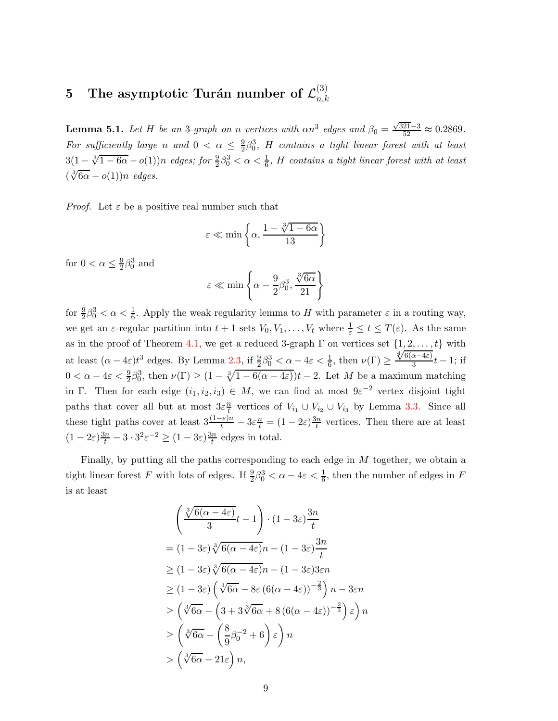#### $5$  The asymptotic Turán number of  ${\cal L}_{n,k}^{(3)}$  $_{n,k}$

<span id="page-8-0"></span>**Lemma 5.1.** Let H be an 3-graph on n vertices with  $\alpha n^3$  edges and  $\beta_0 = \frac{\sqrt{321}-3}{52} \approx 0.2869$ . For sufficiently large n and  $0 < \alpha \leq \frac{9}{2}$  $\frac{9}{2}\beta_0^3$ , H contains a tight linear forest with at least  $3(1-\sqrt[3]{1-6\alpha}-o(1))n$  edges; for  $\frac{9}{2}\beta_0^3 < \alpha < \frac{1}{6}$ , H contains a tight linear forest with at least  $(\sqrt[3]{6\alpha} - o(1))n$  edges.

*Proof.* Let  $\varepsilon$  be a positive real number such that

$$
\varepsilon \ll \min\left\{\alpha, \frac{1 - \sqrt[3]{1 - 6\alpha}}{13}\right\}
$$

for  $0 < \alpha \leq \frac{9}{2}$  $\frac{9}{2}\beta_0^3$  and

$$
\varepsilon \ll \min\left\{\alpha - \frac{9}{2}\beta_0^3, \frac{\sqrt[3]{6\alpha}}{21}\right\}
$$

for  $\frac{9}{2}\beta_0^3 < \alpha < \frac{1}{6}$ . Apply the weak regularity lemma to H with parameter  $\varepsilon$  in a routing way, we get an  $\varepsilon$ -regular partition into  $t+1$  sets  $V_0, V_1, \ldots, V_t$  where  $\frac{1}{\varepsilon} \le t \le T(\varepsilon)$ . As the same as in the proof of Theorem [4.1,](#page-6-1) we get a reduced 3-graph  $\Gamma$  on vertices set  $\{1, 2, \ldots, t\}$  with at least  $(\alpha - 4\varepsilon)t^3$  edges. By Lemma [2.3,](#page-3-2) if  $\frac{9}{2}\beta_0^3 < \alpha - 4\varepsilon < \frac{1}{6}$ , then  $\nu(\Gamma) \geq \frac{\sqrt[4]{6(\alpha - 4\varepsilon)}}{3}t - 1$ ; if  $0 < \alpha - 4\varepsilon < \frac{9}{2}\beta_0^3$ , then  $\nu(\Gamma) \ge (1 - \sqrt[3]{1 - 6(\alpha - 4\varepsilon)})t - 2$ . Let M be a maximum matching in Γ. Then for each edge  $(i_1, i_2, i_3) \in M$ , we can find at most  $9\varepsilon^{-2}$  vertex disjoint tight paths that cover all but at most  $3\varepsilon \frac{n}{t}$  $\frac{n}{t}$  vertices of  $V_{i_1} \cup V_{i_2} \cup V_{i_3}$  by Lemma [3.3.](#page-6-0) Since all these tight paths cover at least  $3\frac{(1-\varepsilon)n}{t} - 3\varepsilon \frac{n}{t} = (1 - 2\varepsilon)\frac{3n}{t}$  $\frac{in}{t}$  vertices. Then there are at least  $(1-2\varepsilon)\frac{3n}{t} - 3\cdot3^2\varepsilon^{-2} \ge (1-3\varepsilon)\frac{3n}{t}$  $\frac{dn}{t}$  edges in total.

Finally, by putting all the paths corresponding to each edge in M together, we obtain a tight linear forest F with lots of edges. If  $\frac{9}{2}\beta_0^3 < \alpha - 4\varepsilon < \frac{1}{6}$ , then the number of edges in F is at least

$$
\left(\frac{\sqrt[3]{6(\alpha-4\varepsilon)}}{3}t-1\right) \cdot (1-3\varepsilon) \frac{3n}{t}
$$
  
=  $(1-3\varepsilon) \sqrt[3]{6(\alpha-4\varepsilon)}n - (1-3\varepsilon) \frac{3n}{t}$   
 $\geq (1-3\varepsilon) \sqrt[3]{6(\alpha-4\varepsilon)}n - (1-3\varepsilon)3\varepsilon n$   
 $\geq (1-3\varepsilon) \left(\sqrt[3]{6\alpha} - 8\varepsilon (6(\alpha-4\varepsilon))^{-\frac{2}{3}}\right) n - 3\varepsilon n$   
 $\geq \left(\sqrt[3]{6\alpha} - \left(3 + 3\sqrt[3]{6\alpha} + 8(6(\alpha-4\varepsilon))^{-\frac{2}{3}}\right)\varepsilon\right) n$   
 $\geq \left(\sqrt[3]{6\alpha} - \left(\frac{8}{9}\beta_0^{-2} + 6\right)\varepsilon\right) n$   
 $> \left(\sqrt[3]{6\alpha} - 21\varepsilon\right) n,$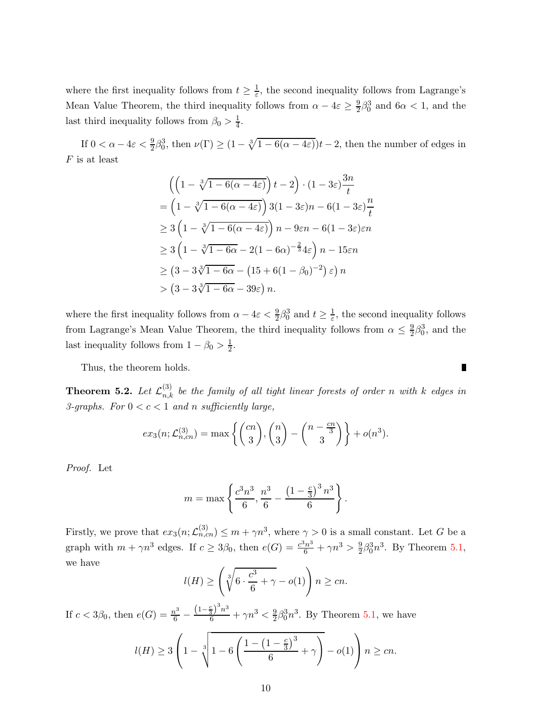where the first inequality follows from  $t \geq \frac{1}{\varepsilon}$  $\frac{1}{\varepsilon}$ , the second inequality follows from Lagrange's Mean Value Theorem, the third inequality follows from  $\alpha - 4\varepsilon \geq \frac{9}{2}$  $\frac{9}{2}\beta_0^3$  and  $6\alpha < 1$ , and the last third inequality follows from  $\beta_0 > \frac{1}{4}$  $\frac{1}{4}$ .

If  $0 < \alpha - 4\varepsilon < \frac{9}{2}\beta_0^3$ , then  $\nu(\Gamma) \ge (1 - \sqrt[3]{1 - 6(\alpha - 4\varepsilon)})t - 2$ , then the number of edges in  $F$  is at least

$$
\left(\left(1-\sqrt[3]{1-6(\alpha-4\varepsilon)}\right)t-2\right)\cdot\left(1-3\varepsilon\right)\frac{3n}{t}
$$
\n
$$
=\left(1-\sqrt[3]{1-6(\alpha-4\varepsilon)}\right)3(1-3\varepsilon)n-6(1-3\varepsilon)\frac{n}{t}
$$
\n
$$
\geq 3\left(1-\sqrt[3]{1-6(\alpha-4\varepsilon)}\right)n-9\varepsilon n-6(1-3\varepsilon)\varepsilon n
$$
\n
$$
\geq 3\left(1-\sqrt[3]{1-6\alpha}-2(1-6\alpha)^{-\frac{2}{3}}4\varepsilon\right)n-15\varepsilon n
$$
\n
$$
\geq \left(3-3\sqrt[3]{1-6\alpha}-\left(15+6(1-\beta_0)^{-2}\right)\varepsilon\right)n
$$
\n
$$
> \left(3-3\sqrt[3]{1-6\alpha}-39\varepsilon\right)n.
$$

where the first inequality follows from  $\alpha - 4\varepsilon < \frac{9}{2}\beta_0^3$  and  $t \ge \frac{1}{\varepsilon}$  $\frac{1}{\varepsilon}$ , the second inequality follows from Lagrange's Mean Value Theorem, the third inequality follows from  $\alpha \leq \frac{9}{2}$  $\frac{9}{2}\beta_0^3$ , and the last inequality follows from  $1 - \beta_0 > \frac{1}{2}$  $rac{1}{2}$ .

Thus, the theorem holds.

<span id="page-9-0"></span>**Theorem 5.2.** Let  $\mathcal{L}_{n,k}^{(3)}$  be the family of all tight linear forests of order n with k edges in 3-graphs. For  $0 < c < 1$  and n sufficiently large,

$$
ex_3(n; \mathcal{L}_{n,cn}^{(3)}) = \max \left\{ {n \choose 3}, {n \choose 3} - {n - \frac{cn}{3} \choose 3} \right\} + o(n^3).
$$

Proof. Let

$$
m = \max \left\{ \frac{c^3 n^3}{6}, \frac{n^3}{6} - \frac{\left(1 - \frac{c}{3}\right)^3 n^3}{6} \right\}.
$$

Firstly, we prove that  $ex_3(n;\mathcal{L}_{n,m}^{(3)}) \leq m + \gamma n^3$ , where  $\gamma > 0$  is a small constant. Let G be a graph with  $m + \gamma n^3$  edges. If  $c \geq 3\beta_0$ , then  $e(G) = \frac{c^3 n^3}{6} + \gamma n^3 > \frac{9}{2}$  $\frac{9}{2}\beta_0^3 n^3$ . By Theorem [5.1,](#page-8-0) we have

$$
l(H) \ge \left(\sqrt[3]{6 \cdot \frac{c^3}{6} + \gamma} - o(1)\right) n \ge cn.
$$

If  $c < 3\beta_0$ , then  $e(G) = \frac{n^3}{6}$  $\frac{n^3}{6} - \frac{\left(1-\frac{c}{3}\right)^3 n^3}{6} + \gamma n^3 < \frac{9}{2}$  $\frac{9}{2}\beta_0^3 n^3$ . By Theorem [5.1,](#page-8-0) we have

$$
l(H) \ge 3\left(1 - \sqrt[3]{1 - 6\left(\frac{1 - \left(1 - \frac{c}{3}\right)^3}{6} + \gamma\right)} - o(1)\right) n \ge cn.
$$

 $\blacksquare$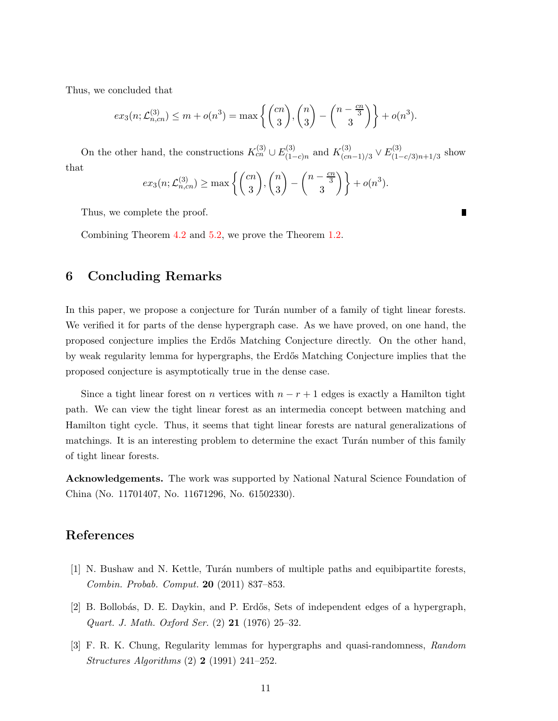Thus, we concluded that

$$
ex_3(n; \mathcal{L}_{n,cn}^{(3)}) \le m + o(n^3) = \max\left\{ \binom{cn}{3}, \binom{n}{3} - \binom{n - \frac{cn}{3}}{3} \right\} + o(n^3).
$$

On the other hand, the constructions  $K_{cn}^{(3)} \cup E_{(1)}^{(3)}$  $\chi^{(3)}_{(1-c)n}$  and  $K^{(3)}_{(cn)}$  $\frac{C(3)}{(cn-1)/3}$   $\vee$   $E_{(1-)}^{(3)}$  $\sum_{(1-c/3)n+1/3}^{(3)}$  show that

$$
ex_3(n; \mathcal{L}_{n,cn}^{(3)}) \ge \max\left\{ \binom{cn}{3}, \binom{n}{3} - \binom{n-\frac{cn}{3}}{3} \right\} + o(n^3).
$$

Thus, we complete the proof.

Combining Theorem [4.2](#page-7-0) and [5.2,](#page-9-0) we prove the Theorem [1.2.](#page-2-0)

# 6 Concluding Remarks

In this paper, we propose a conjecture for Turán number of a family of tight linear forests. We verified it for parts of the dense hypergraph case. As we have proved, on one hand, the proposed conjecture implies the Erd˝os Matching Conjecture directly. On the other hand, by weak regularity lemma for hypergraphs, the Erd˝os Matching Conjecture implies that the proposed conjecture is asymptotically true in the dense case.

Since a tight linear forest on n vertices with  $n - r + 1$  edges is exactly a Hamilton tight path. We can view the tight linear forest as an intermedia concept between matching and Hamilton tight cycle. Thus, it seems that tight linear forests are natural generalizations of matchings. It is an interesting problem to determine the exact Turán number of this family of tight linear forests.

Acknowledgements. The work was supported by National Natural Science Foundation of China (No. 11701407, No. 11671296, No. 61502330).

# <span id="page-10-1"></span>References

- <span id="page-10-0"></span>[1] N. Bushaw and N. Kettle, Turán numbers of multiple paths and equibipartite forests, Combin. Probab. Comput. 20 (2011) 837–853.
- <span id="page-10-2"></span>[2] B. Bollob´as, D. E. Daykin, and P. Erd˝os, Sets of independent edges of a hypergraph, Quart. J. Math. Oxford Ser. (2) 21 (1976) 25–32.
- [3] F. R. K. Chung, Regularity lemmas for hypergraphs and quasi-randomness, Random Structures Algorithms (2) 2 (1991) 241–252.

Г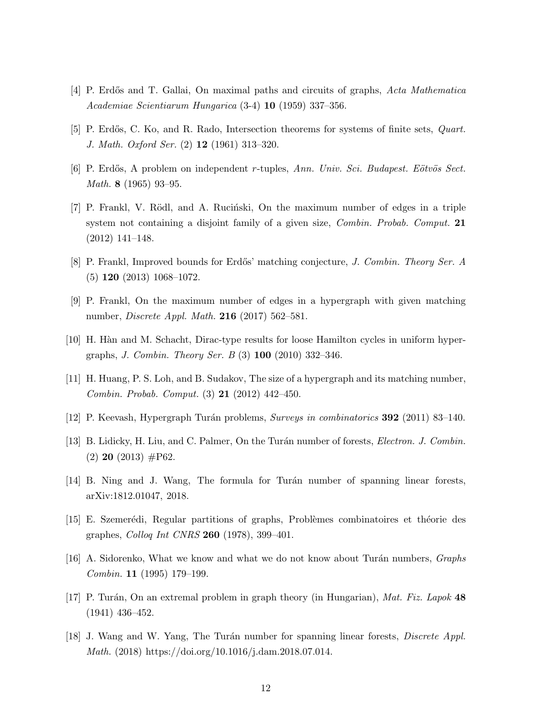- <span id="page-11-5"></span><span id="page-11-4"></span>[4] P. Erdős and T. Gallai, On maximal paths and circuits of graphs, Acta Mathematica Academiae Scientiarum Hungarica (3-4) 10 (1959) 337–356.
- <span id="page-11-3"></span>[5] P. Erdős, C. Ko, and R. Rado, Intersection theorems for systems of finite sets, *Quart*. J. Math. Oxford Ser. (2) 12 (1961) 313–320.
- <span id="page-11-6"></span>[6] P. Erdős, A problem on independent r-tuples, Ann. Univ. Sci. Budapest. Eötvös Sect. Math. 8 (1965) 93–95.
- $[7]$  P. Frankl, V. Rödl, and A. Rucinski, On the maximum number of edges in a triple system not containing a disjoint family of a given size, Combin. Probab. Comput. 21 (2012) 141–148.
- <span id="page-11-9"></span><span id="page-11-7"></span>[8] P. Frankl, Improved bounds for Erdős' matching conjecture, *J. Combin. Theory Ser. A* (5) 120 (2013) 1068–1072.
- <span id="page-11-14"></span>[9] P. Frankl, On the maximum number of edges in a hypergraph with given matching number, Discrete Appl. Math. 216 (2017) 562–581.
- <span id="page-11-8"></span>[10] H. H`an and M. Schacht, Dirac-type results for loose Hamilton cycles in uniform hypergraphs, J. Combin. Theory Ser. B (3) 100 (2010) 332–346.
- <span id="page-11-1"></span>[11] H. Huang, P. S. Loh, and B. Sudakov, The size of a hypergraph and its matching number, Combin. Probab. Comput. (3) 21 (2012) 442–450.
- <span id="page-11-10"></span>[12] P. Keevash, Hypergraph Turán problems, Surveys in combinatorics **392** (2011) 83–140.
- <span id="page-11-12"></span>[13] B. Lidicky, H. Liu, and C. Palmer, On the Turán number of forests, *Electron. J. Combin.*  $(2)$  20  $(2013)$  #P62.
- <span id="page-11-13"></span>[14] B. Ning and J. Wang, The formula for Turán number of spanning linear forests, arXiv:1812.01047, 2018.
- <span id="page-11-2"></span>[15] E. Szemerédi, Regular partitions of graphs, Problèmes combinatoires et théorie des graphes, Colloq Int CNRS 260 (1978), 399–401.
- <span id="page-11-0"></span> $[16]$  A. Sidorenko, What we know and what we do not know about Turán numbers, Graphs Combin. 11 (1995) 179–199.
- <span id="page-11-11"></span>[17] P. Turán, On an extremal problem in graph theory (in Hungarian), Mat. Fiz. Lapok  $48$ (1941) 436–452.
- [18] J. Wang and W. Yang, The Turán number for spanning linear forests, *Discrete Appl.* Math. (2018) https://doi.org/10.1016/j.dam.2018.07.014.